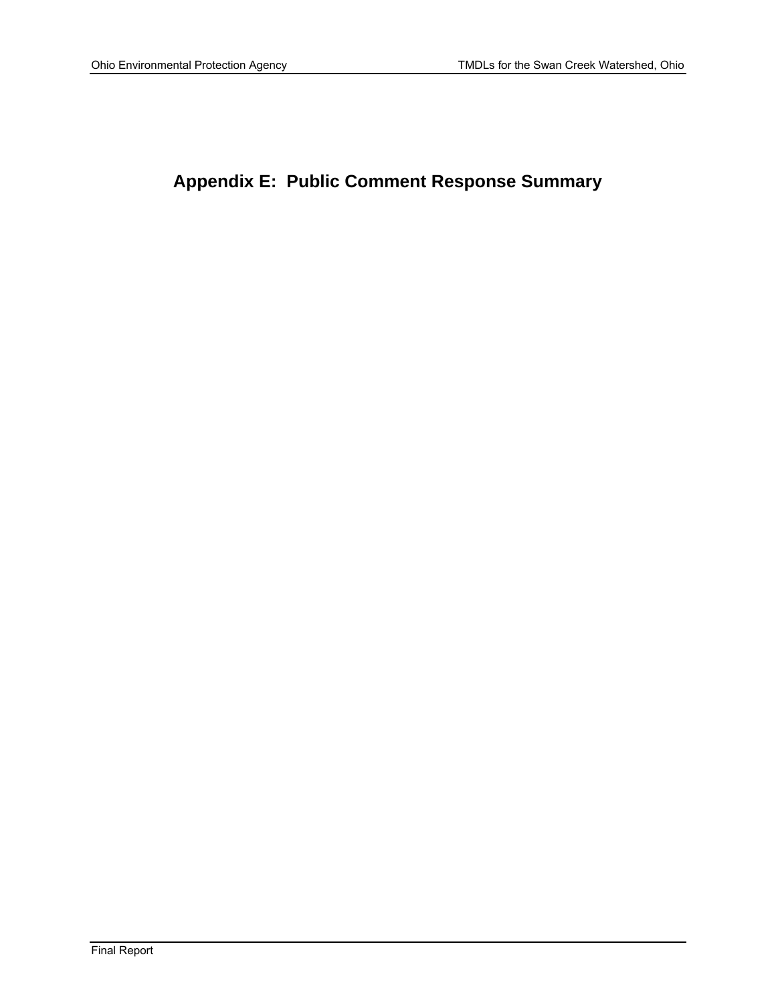# **Appendix E: Public Comment Response Summary**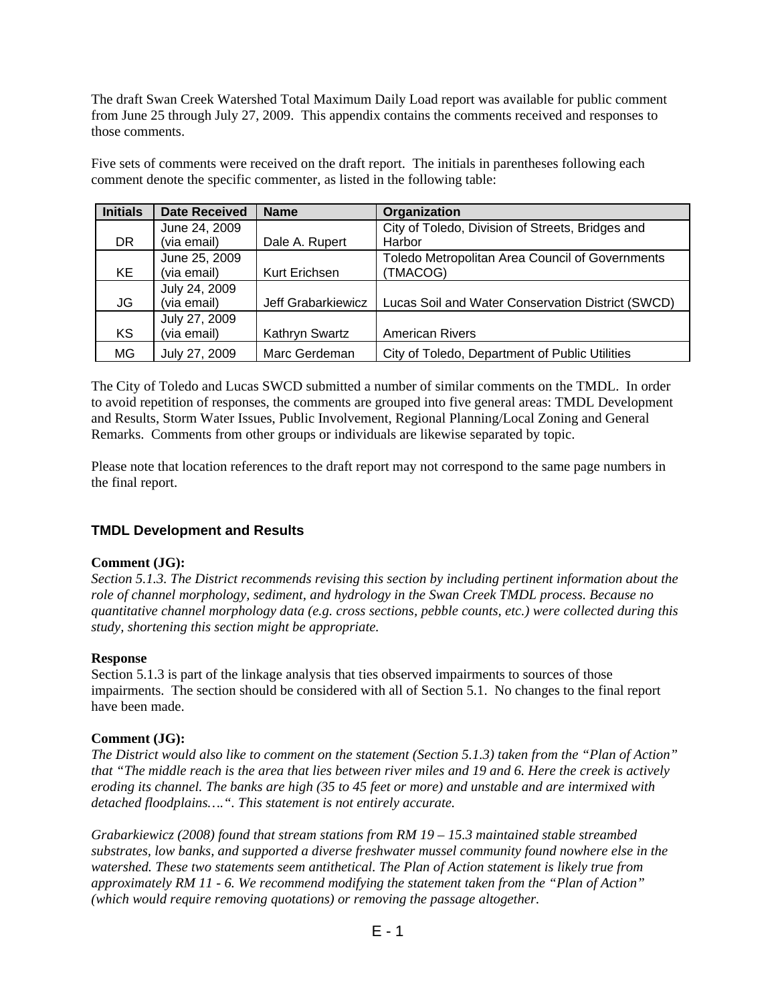The draft Swan Creek Watershed Total Maximum Daily Load report was available for public comment from June 25 through July 27, 2009. This appendix contains the comments received and responses to those comments.

Five sets of comments were received on the draft report. The initials in parentheses following each comment denote the specific commenter, as listed in the following table:

| <b>Initials</b> | <b>Date Received</b> | <b>Name</b>        | Organization                                      |
|-----------------|----------------------|--------------------|---------------------------------------------------|
|                 | June 24, 2009        |                    | City of Toledo, Division of Streets, Bridges and  |
| <b>DR</b>       | (via email)          | Dale A. Rupert     | Harbor                                            |
|                 | June 25, 2009        |                    | Toledo Metropolitan Area Council of Governments   |
| KE              | (via email)          | Kurt Erichsen      | (TMACOG)                                          |
|                 | July 24, 2009        |                    |                                                   |
| JG              | (via email)          | Jeff Grabarkiewicz | Lucas Soil and Water Conservation District (SWCD) |
|                 | July 27, 2009        |                    |                                                   |
| <b>KS</b>       | (via email)          | Kathryn Swartz     | <b>American Rivers</b>                            |
| ΜG              | July 27, 2009        | Marc Gerdeman      | City of Toledo, Department of Public Utilities    |

The City of Toledo and Lucas SWCD submitted a number of similar comments on the TMDL. In order to avoid repetition of responses, the comments are grouped into five general areas: TMDL Development and Results, Storm Water Issues, Public Involvement, Regional Planning/Local Zoning and General Remarks. Comments from other groups or individuals are likewise separated by topic.

Please note that location references to the draft report may not correspond to the same page numbers in the final report.

# **TMDL Development and Results**

## **Comment (JG):**

*Section 5.1.3. The District recommends revising this section by including pertinent information about the role of channel morphology, sediment, and hydrology in the Swan Creek TMDL process. Because no quantitative channel morphology data (e.g. cross sections, pebble counts, etc.) were collected during this study, shortening this section might be appropriate.* 

#### **Response**

Section 5.1.3 is part of the linkage analysis that ties observed impairments to sources of those impairments. The section should be considered with all of Section 5.1. No changes to the final report have been made.

#### **Comment (JG):**

*The District would also like to comment on the statement (Section 5.1.3) taken from the "Plan of Action" that "The middle reach is the area that lies between river miles and 19 and 6. Here the creek is actively eroding its channel. The banks are high (35 to 45 feet or more) and unstable and are intermixed with detached floodplains….". This statement is not entirely accurate.* 

*Grabarkiewicz (2008) found that stream stations from RM 19 – 15.3 maintained stable streambed substrates, low banks, and supported a diverse freshwater mussel community found nowhere else in the watershed. These two statements seem antithetical. The Plan of Action statement is likely true from approximately RM 11 - 6. We recommend modifying the statement taken from the "Plan of Action" (which would require removing quotations) or removing the passage altogether.* 

 $E - 1$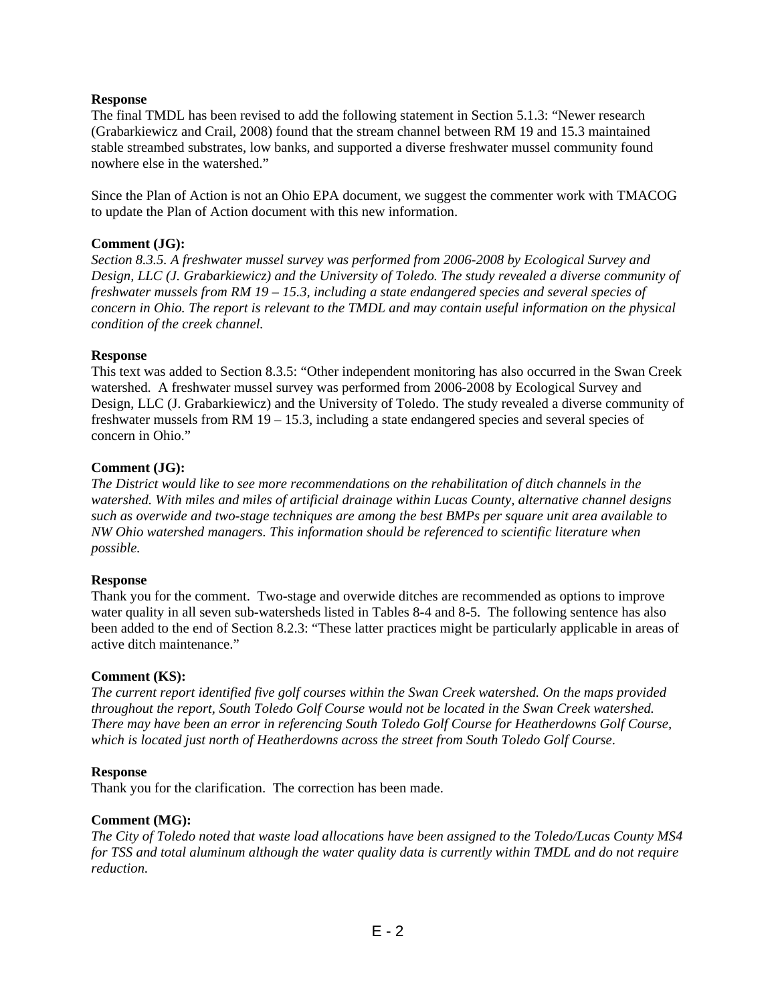## **Response**

The final TMDL has been revised to add the following statement in Section 5.1.3: "Newer research (Grabarkiewicz and Crail, 2008) found that the stream channel between RM 19 and 15.3 maintained stable streambed substrates, low banks, and supported a diverse freshwater mussel community found nowhere else in the watershed."

Since the Plan of Action is not an Ohio EPA document, we suggest the commenter work with TMACOG to update the Plan of Action document with this new information.

## **Comment (JG):**

*Section 8.3.5. A freshwater mussel survey was performed from 2006-2008 by Ecological Survey and Design, LLC (J. Grabarkiewicz) and the University of Toledo. The study revealed a diverse community of freshwater mussels from RM 19 – 15.3, including a state endangered species and several species of concern in Ohio. The report is relevant to the TMDL and may contain useful information on the physical condition of the creek channel.*

## **Response**

This text was added to Section 8.3.5: "Other independent monitoring has also occurred in the Swan Creek watershed. A freshwater mussel survey was performed from 2006-2008 by Ecological Survey and Design, LLC (J. Grabarkiewicz) and the University of Toledo. The study revealed a diverse community of freshwater mussels from RM 19 – 15.3, including a state endangered species and several species of concern in Ohio."

## **Comment (JG):**

*The District would like to see more recommendations on the rehabilitation of ditch channels in the watershed. With miles and miles of artificial drainage within Lucas County, alternative channel designs such as overwide and two-stage techniques are among the best BMPs per square unit area available to NW Ohio watershed managers. This information should be referenced to scientific literature when possible.* 

## **Response**

Thank you for the comment. Two-stage and overwide ditches are recommended as options to improve water quality in all seven sub-watersheds listed in Tables 8-4 and 8-5. The following sentence has also been added to the end of Section 8.2.3: "These latter practices might be particularly applicable in areas of active ditch maintenance."

## **Comment (KS):**

*The current report identified five golf courses within the Swan Creek watershed. On the maps provided throughout the report, South Toledo Golf Course would not be located in the Swan Creek watershed. There may have been an error in referencing South Toledo Golf Course for Heatherdowns Golf Course, which is located just north of Heatherdowns across the street from South Toledo Golf Course*.

## **Response**

Thank you for the clarification. The correction has been made.

## **Comment (MG):**

*The City of Toledo noted that waste load allocations have been assigned to the Toledo/Lucas County MS4 for TSS and total aluminum although the water quality data is currently within TMDL and do not require reduction.*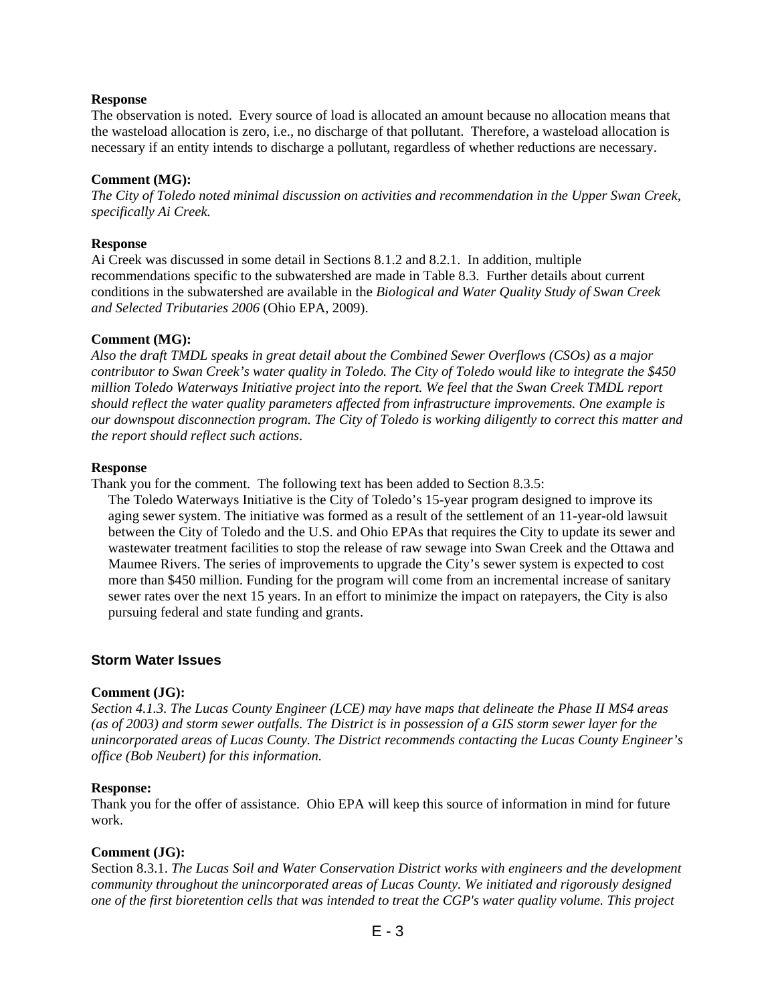#### **Response**

The observation is noted. Every source of load is allocated an amount because no allocation means that the wasteload allocation is zero, i.e., no discharge of that pollutant. Therefore, a wasteload allocation is necessary if an entity intends to discharge a pollutant, regardless of whether reductions are necessary.

#### **Comment (MG):**

*The City of Toledo noted minimal discussion on activities and recommendation in the Upper Swan Creek, specifically Ai Creek.* 

#### **Response**

Ai Creek was discussed in some detail in Sections 8.1.2 and 8.2.1. In addition, multiple recommendations specific to the subwatershed are made in Table 8.3. Further details about current conditions in the subwatershed are available in the *Biological and Water Quality Study of Swan Creek and Selected Tributaries 2006* (Ohio EPA, 2009).

#### **Comment (MG):**

*Also the draft TMDL speaks in great detail about the Combined Sewer Overflows (CSOs) as a major contributor to Swan Creek's water quality in Toledo. The City of Toledo would like to integrate the \$450 million Toledo Waterways Initiative project into the report. We feel that the Swan Creek TMDL report should reflect the water quality parameters affected from infrastructure improvements. One example is our downspout disconnection program. The City of Toledo is working diligently to correct this matter and the report should reflect such actions*.

#### **Response**

Thank you for the comment. The following text has been added to Section 8.3.5:

The Toledo Waterways Initiative is the City of Toledo's 15-year program designed to improve its aging sewer system. The initiative was formed as a result of the settlement of an 11-year-old lawsuit between the City of Toledo and the U.S. and Ohio EPAs that requires the City to update its sewer and wastewater treatment facilities to stop the release of raw sewage into Swan Creek and the Ottawa and Maumee Rivers. The series of improvements to upgrade the City's sewer system is expected to cost more than \$450 million. Funding for the program will come from an incremental increase of sanitary sewer rates over the next 15 years. In an effort to minimize the impact on ratepayers, the City is also pursuing federal and state funding and grants.

## **Storm Water Issues**

#### **Comment (JG):**

*Section 4.1.3. The Lucas County Engineer (LCE) may have maps that delineate the Phase II MS4 areas (as of 2003) and storm sewer outfalls. The District is in possession of a GIS storm sewer layer for the unincorporated areas of Lucas County. The District recommends contacting the Lucas County Engineer's office (Bob Neubert) for this information.* 

#### **Response:**

Thank you for the offer of assistance. Ohio EPA will keep this source of information in mind for future work.

## **Comment (JG):**

Section 8.3.1. *The Lucas Soil and Water Conservation District works with engineers and the development community throughout the unincorporated areas of Lucas County. We initiated and rigorously designed one of the first bioretention cells that was intended to treat the CGP's water quality volume. This project*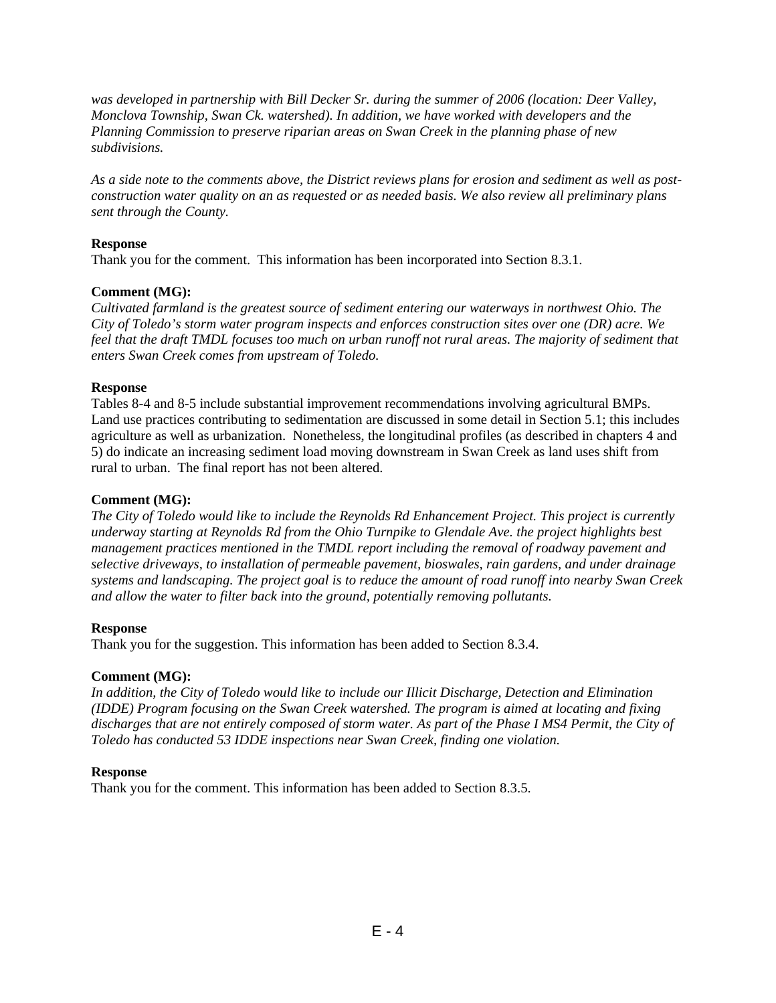*was developed in partnership with Bill Decker Sr. during the summer of 2006 (location: Deer Valley, Monclova Township, Swan Ck. watershed). In addition, we have worked with developers and the Planning Commission to preserve riparian areas on Swan Creek in the planning phase of new subdivisions.* 

*As a side note to the comments above, the District reviews plans for erosion and sediment as well as postconstruction water quality on an as requested or as needed basis. We also review all preliminary plans sent through the County.* 

## **Response**

Thank you for the comment. This information has been incorporated into Section 8.3.1.

## **Comment (MG):**

*Cultivated farmland is the greatest source of sediment entering our waterways in northwest Ohio. The City of Toledo's storm water program inspects and enforces construction sites over one (DR) acre. We feel that the draft TMDL focuses too much on urban runoff not rural areas. The majority of sediment that enters Swan Creek comes from upstream of Toledo.* 

## **Response**

Tables 8-4 and 8-5 include substantial improvement recommendations involving agricultural BMPs. Land use practices contributing to sedimentation are discussed in some detail in Section 5.1; this includes agriculture as well as urbanization. Nonetheless, the longitudinal profiles (as described in chapters 4 and 5) do indicate an increasing sediment load moving downstream in Swan Creek as land uses shift from rural to urban. The final report has not been altered.

## **Comment (MG):**

*The City of Toledo would like to include the Reynolds Rd Enhancement Project. This project is currently underway starting at Reynolds Rd from the Ohio Turnpike to Glendale Ave. the project highlights best management practices mentioned in the TMDL report including the removal of roadway pavement and selective driveways, to installation of permeable pavement, bioswales, rain gardens, and under drainage systems and landscaping. The project goal is to reduce the amount of road runoff into nearby Swan Creek and allow the water to filter back into the ground, potentially removing pollutants.* 

# **Response**

Thank you for the suggestion. This information has been added to Section 8.3.4.

## **Comment (MG):**

*In addition, the City of Toledo would like to include our Illicit Discharge, Detection and Elimination (IDDE) Program focusing on the Swan Creek watershed. The program is aimed at locating and fixing discharges that are not entirely composed of storm water. As part of the Phase I MS4 Permit, the City of Toledo has conducted 53 IDDE inspections near Swan Creek, finding one violation.*

## **Response**

Thank you for the comment. This information has been added to Section 8.3.5.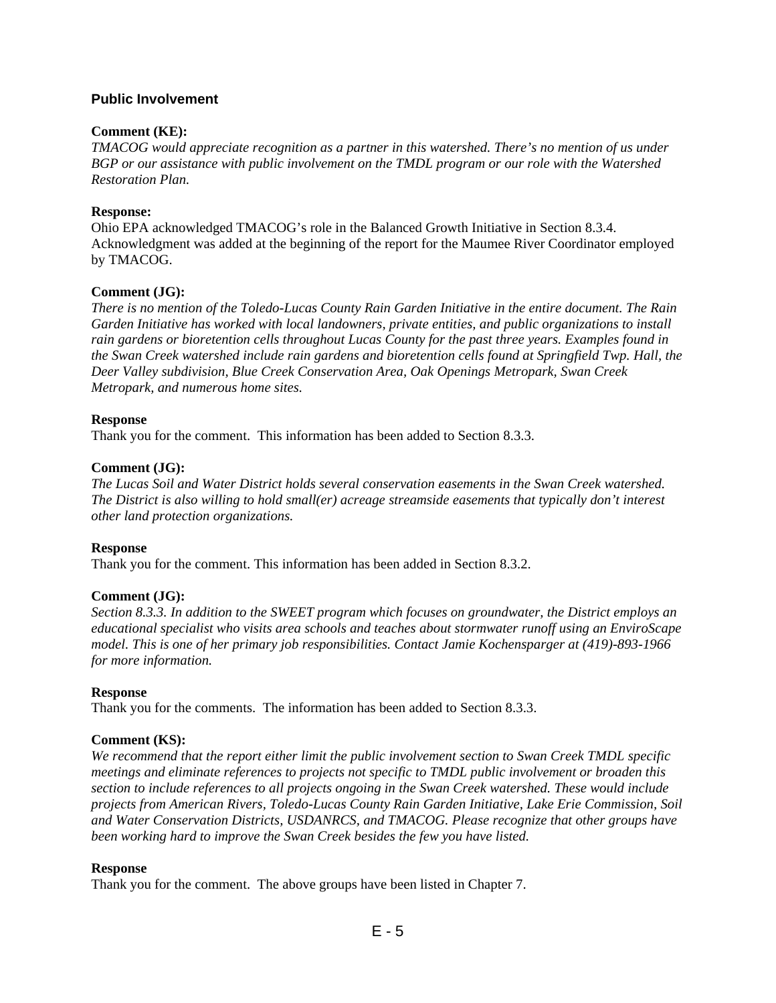## **Public Involvement**

## **Comment (KE):**

*TMACOG would appreciate recognition as a partner in this watershed. There's no mention of us under BGP or our assistance with public involvement on the TMDL program or our role with the Watershed Restoration Plan.* 

## **Response:**

Ohio EPA acknowledged TMACOG's role in the Balanced Growth Initiative in Section 8.3.4. Acknowledgment was added at the beginning of the report for the Maumee River Coordinator employed by TMACOG.

## **Comment (JG):**

*There is no mention of the Toledo-Lucas County Rain Garden Initiative in the entire document. The Rain Garden Initiative has worked with local landowners, private entities, and public organizations to install rain gardens or bioretention cells throughout Lucas County for the past three years. Examples found in the Swan Creek watershed include rain gardens and bioretention cells found at Springfield Twp. Hall, the Deer Valley subdivision, Blue Creek Conservation Area, Oak Openings Metropark, Swan Creek Metropark, and numerous home sites.* 

## **Response**

Thank you for the comment. This information has been added to Section 8.3.3.

## **Comment (JG):**

*The Lucas Soil and Water District holds several conservation easements in the Swan Creek watershed. The District is also willing to hold small(er) acreage streamside easements that typically don't interest other land protection organizations.*

# **Response**

Thank you for the comment. This information has been added in Section 8.3.2.

# **Comment (JG):**

*Section 8.3.3. In addition to the SWEET program which focuses on groundwater, the District employs an educational specialist who visits area schools and teaches about stormwater runoff using an EnviroScape model. This is one of her primary job responsibilities. Contact Jamie Kochensparger at (419)-893-1966 for more information.* 

## **Response**

Thank you for the comments. The information has been added to Section 8.3.3.

# **Comment (KS):**

*We recommend that the report either limit the public involvement section to Swan Creek TMDL specific meetings and eliminate references to projects not specific to TMDL public involvement or broaden this section to include references to all projects ongoing in the Swan Creek watershed. These would include projects from American Rivers, Toledo-Lucas County Rain Garden Initiative, Lake Erie Commission, Soil and Water Conservation Districts, USDANRCS, and TMACOG. Please recognize that other groups have been working hard to improve the Swan Creek besides the few you have listed.* 

## **Response**

Thank you for the comment. The above groups have been listed in Chapter 7.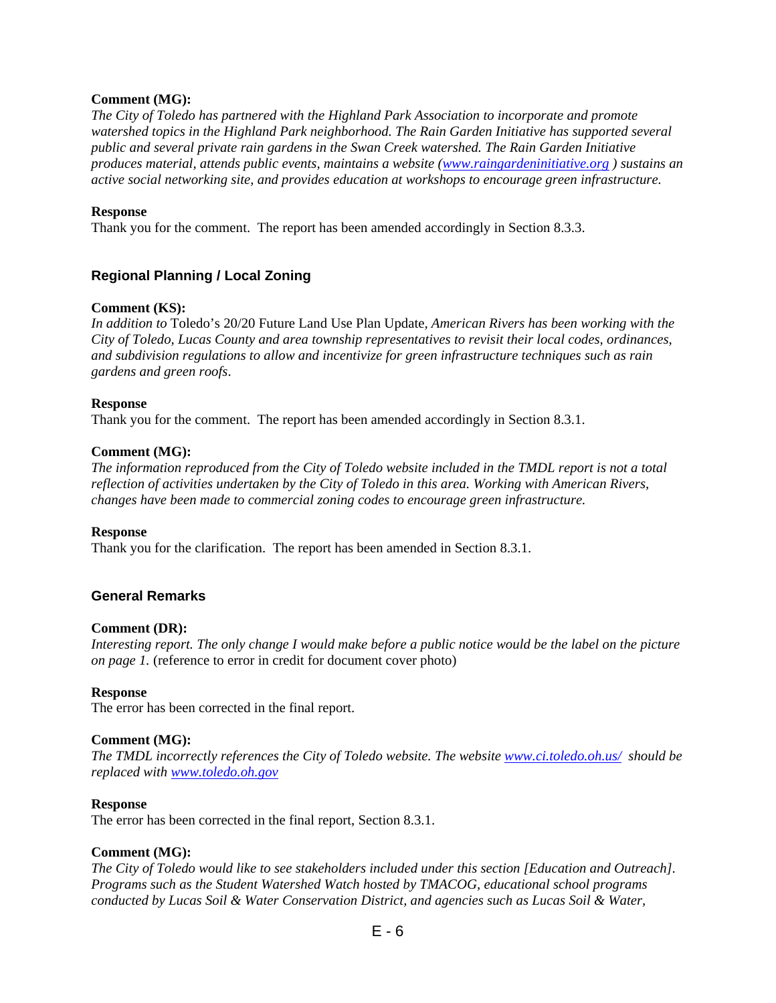## **Comment (MG):**

*The City of Toledo has partnered with the Highland Park Association to incorporate and promote watershed topics in the Highland Park neighborhood. The Rain Garden Initiative has supported several public and several private rain gardens in the Swan Creek watershed. The Rain Garden Initiative produces material, attends public events, maintains a website (www.raingardeninitiative.org ) sustains an active social networking site, and provides education at workshops to encourage green infrastructure.* 

#### **Response**

Thank you for the comment. The report has been amended accordingly in Section 8.3.3.

# **Regional Planning / Local Zoning**

#### **Comment (KS):**

*In addition to* Toledo's 20/20 Future Land Use Plan Update*, American Rivers has been working with the City of Toledo, Lucas County and area township representatives to revisit their local codes, ordinances, and subdivision regulations to allow and incentivize for green infrastructure techniques such as rain gardens and green roofs*.

#### **Response**

Thank you for the comment. The report has been amended accordingly in Section 8.3.1.

#### **Comment (MG):**

*The information reproduced from the City of Toledo website included in the TMDL report is not a total reflection of activities undertaken by the City of Toledo in this area. Working with American Rivers, changes have been made to commercial zoning codes to encourage green infrastructure.* 

#### **Response**

Thank you for the clarification. The report has been amended in Section 8.3.1.

## **General Remarks**

#### **Comment (DR):**

*Interesting report. The only change I would make before a public notice would be the label on the picture on page 1.* (reference to error in credit for document cover photo)

#### **Response**

The error has been corrected in the final report.

#### **Comment (MG):**

*The TMDL incorrectly references the City of Toledo website. The website www.ci.toledo.oh.us/ should be replaced with www.toledo.oh.gov*

#### **Response**

The error has been corrected in the final report, Section 8.3.1.

#### **Comment (MG):**

*The City of Toledo would like to see stakeholders included under this section [Education and Outreach]. Programs such as the Student Watershed Watch hosted by TMACOG, educational school programs conducted by Lucas Soil & Water Conservation District, and agencies such as Lucas Soil & Water,* 

 $E - 6$